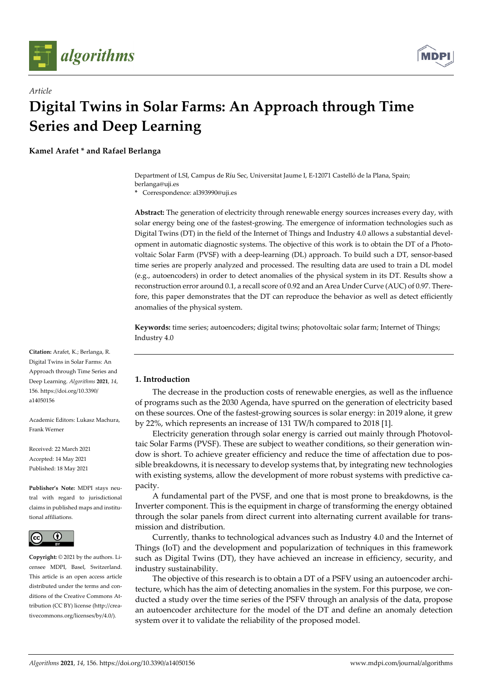

*Article*



# **Digital Twins in Solar Farms: An Approach through Time Series and Deep Learning**

**Kamel Arafet \* and Rafael Berlanga**

Department of LSI, Campus de Ríu Sec, Universitat Jaume I, E-12071 Castelló de la Plana, Spain; berlanga@uji.es

**\*** Correspondence: al393990@uji.es

**Abstract:** The generation of electricity through renewable energy sources increases every day, with solar energy being one of the fastest-growing. The emergence of information technologies such as Digital Twins (DT) in the field of the Internet of Things and Industry 4.0 allows a substantial development in automatic diagnostic systems. The objective of this work is to obtain the DT of a Photovoltaic Solar Farm (PVSF) with a deep-learning (DL) approach. To build such a DT, sensor-based time series are properly analyzed and processed. The resulting data are used to train a DL model (e.g., autoencoders) in order to detect anomalies of the physical system in its DT. Results show a reconstruction error around 0.1, a recall score of 0.92 and an Area Under Curve (AUC) of 0.97. Therefore, this paper demonstrates that the DT can reproduce the behavior as well as detect efficiently anomalies of the physical system.

**Keywords:** time series; autoencoders; digital twins; photovoltaic solar farm; Internet of Things; Industry 4.0

# **1. Introduction**

The decrease in the production costs of renewable energies, as well as the influence of programs such as the 2030 Agenda, have spurred on the generation of electricity based on these sources. One of the fastest-growing sources is solar energy: in 2019 alone, it grew by 22%, which represents an increase of 131 TW/h compared to 2018 [1].

Electricity generation through solar energy is carried out mainly through Photovoltaic Solar Farms (PVSF). These are subject to weather conditions, so their generation window is short. To achieve greater efficiency and reduce the time of affectation due to possible breakdowns, it is necessary to develop systems that, by integrating new technologies with existing systems, allow the development of more robust systems with predictive capacity.

A fundamental part of the PVSF, and one that is most prone to breakdowns, is the Inverter component. This is the equipment in charge of transforming the energy obtained through the solar panels from direct current into alternating current available for transmission and distribution.

Currently, thanks to technological advances such as Industry 4.0 and the Internet of Things (IoT) and the development and popularization of techniques in this framework such as Digital Twins (DT), they have achieved an increase in efficiency, security, and industry sustainability.

The objective of this research is to obtain a DT of a PSFV using an autoencoder architecture, which has the aim of detecting anomalies in the system. For this purpose, we conducted a study over the time series of the PSFV through an analysis of the data, propose an autoencoder architecture for the model of the DT and define an anomaly detection system over it to validate the reliability of the proposed model.

**Citation:** Arafet, K.; Berlanga, R. Digital Twins in Solar Farms: An Approach through Time Series and Deep Learning. *Algorithms* **2021**, *14*, 156. https://doi.org/10.3390/ a14050156

Academic Editors: Lukasz Machura, Frank Werner

Received: 22 March 2021 Accepted: 14 May 2021 Published: 18 May 2021

**Publisher's Note:** MDPI stays neutral with regard to jurisdictional claims in published maps and institutional affiliations.



**Copyright:** © 2021 by the authors. Licensee MDPI, Basel, Switzerland. This article is an open access article distributed under the terms and conditions of the Creative Commons Attribution (CC BY) license (http://creativecommons.org/licenses/by/4.0/).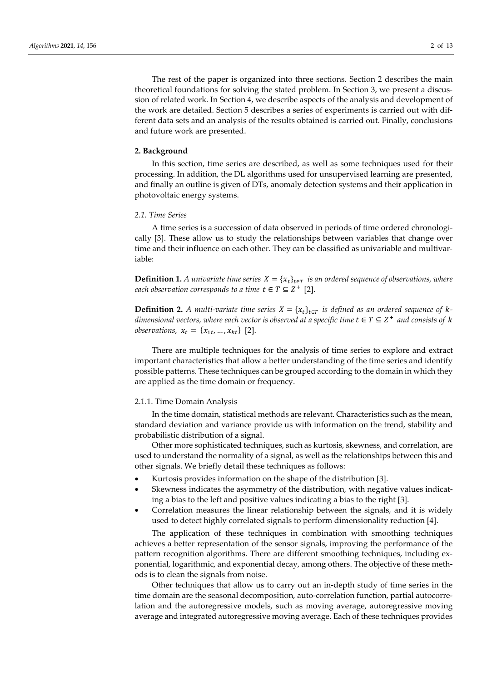The rest of the paper is organized into three sections. Section 2 describes the main theoretical foundations for solving the stated problem. In Section 3, we present a discussion of related work. In Section 4, we describe aspects of the analysis and development of the work are detailed. Section 5 describes a series of experiments is carried out with different data sets and an analysis of the results obtained is carried out. Finally, conclusions and future work are presented.

#### **2. Background**

In this section, time series are described, as well as some techniques used for their processing. In addition, the DL algorithms used for unsupervised learning are presented, and finally an outline is given of DTs, anomaly detection systems and their application in photovoltaic energy systems.

## *2.1. Time Series*

A time series is a succession of data observed in periods of time ordered chronologically [3]. These allow us to study the relationships between variables that change over time and their influence on each other. They can be classified as univariable and multivariable:

**Definition 1.** *A univariate time series*  $X = \{x_t\}_{t \in T}$  *is an ordered sequence of observations, where each observation corresponds to a time*  $t \in T \subseteq Z^+$  [2].

**Definition 2.** *A multi-variate time series*  $X = \{x_t\}_{t \in T}$  *is defined as an ordered sequence of kdimensional vectors, where each vector is observed at a specific time*  $t \in T \subseteq Z^+$  *and consists of*  $k$ *observations,*  $x_t = \{x_{1t}, ..., x_{kt}\}\$  [2].

There are multiple techniques for the analysis of time series to explore and extract important characteristics that allow a better understanding of the time series and identify possible patterns. These techniques can be grouped according to the domain in which they are applied as the time domain or frequency.

#### 2.1.1. Time Domain Analysis

In the time domain, statistical methods are relevant. Characteristics such as the mean, standard deviation and variance provide us with information on the trend, stability and probabilistic distribution of a signal.

Other more sophisticated techniques, such as kurtosis, skewness, and correlation, are used to understand the normality of a signal, as well as the relationships between this and other signals. We briefly detail these techniques as follows:

- Kurtosis provides information on the shape of the distribution [3].
- Skewness indicates the asymmetry of the distribution, with negative values indicating a bias to the left and positive values indicating a bias to the right [3].
- Correlation measures the linear relationship between the signals, and it is widely used to detect highly correlated signals to perform dimensionality reduction [4].

The application of these techniques in combination with smoothing techniques achieves a better representation of the sensor signals, improving the performance of the pattern recognition algorithms. There are different smoothing techniques, including exponential, logarithmic, and exponential decay, among others. The objective of these methods is to clean the signals from noise.

Other techniques that allow us to carry out an in-depth study of time series in the time domain are the seasonal decomposition, auto-correlation function, partial autocorrelation and the autoregressive models, such as moving average, autoregressive moving average and integrated autoregressive moving average. Each of these techniques provides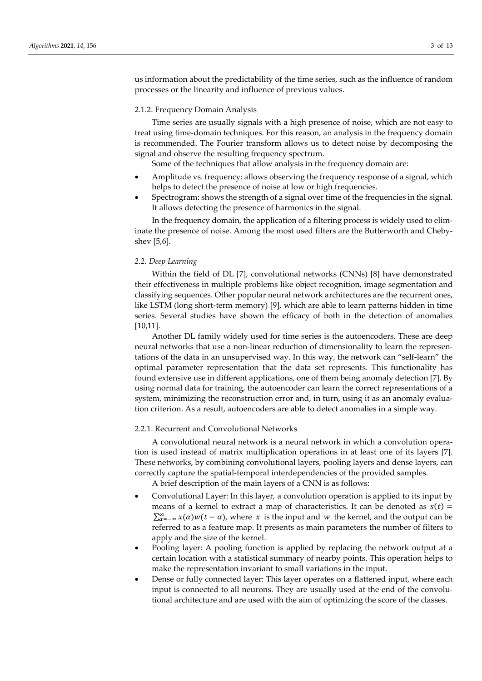us information about the predictability of the time series, such as the influence of random processes or the linearity and influence of previous values.

#### 2.1.2. Frequency Domain Analysis

Time series are usually signals with a high presence of noise, which are not easy to treat using time-domain techniques. For this reason, an analysis in the frequency domain is recommended. The Fourier transform allows us to detect noise by decomposing the signal and observe the resulting frequency spectrum.

Some of the techniques that allow analysis in the frequency domain are:

- Amplitude vs. frequency: allows observing the frequency response of a signal, which helps to detect the presence of noise at low or high frequencies.
- Spectrogram: shows the strength of a signal over time of the frequencies in the signal. It allows detecting the presence of harmonics in the signal.

In the frequency domain, the application of a filtering process is widely used to eliminate the presence of noise. Among the most used filters are the Butterworth and Chebyshev [5,6].

## *2.2. Deep Learning*

Within the field of DL [7], convolutional networks (CNNs) [8] have demonstrated their effectiveness in multiple problems like object recognition, image segmentation and classifying sequences. Other popular neural network architectures are the recurrent ones, like LSTM (long short-term memory) [9], which are able to learn patterns hidden in time series. Several studies have shown the efficacy of both in the detection of anomalies [10,11].

Another DL family widely used for time series is the autoencoders. These are deep neural networks that use a non-linear reduction of dimensionality to learn the representations of the data in an unsupervised way. In this way, the network can "self-learn" the optimal parameter representation that the data set represents. This functionality has found extensive use in different applications, one of them being anomaly detection [7]. By using normal data for training, the autoencoder can learn the correct representations of a system, minimizing the reconstruction error and, in turn, using it as an anomaly evaluation criterion. As a result, autoencoders are able to detect anomalies in a simple way.

# 2.2.1. Recurrent and Convolutional Networks

A convolutional neural network is a neural network in which a convolution operation is used instead of matrix multiplication operations in at least one of its layers [7]. These networks, by combining convolutional layers, pooling layers and dense layers, can correctly capture the spatial-temporal interdependencies of the provided samples.

A brief description of the main layers of a CNN is as follows:

- Convolutional Layer: In this layer, a convolution operation is applied to its input by means of a kernel to extract a map of characteristics. It can be denoted as  $s(t)$  =  $\sum_{\alpha=-\infty}^{\infty} x(\alpha)w(t-\alpha)$ , where x is the input and w the kernel, and the output can be referred to as a feature map. It presents as main parameters the number of filters to apply and the size of the kernel.
- Pooling layer: A pooling function is applied by replacing the network output at a certain location with a statistical summary of nearby points. This operation helps to make the representation invariant to small variations in the input.
- Dense or fully connected layer: This layer operates on a flattened input, where each input is connected to all neurons. They are usually used at the end of the convolutional architecture and are used with the aim of optimizing the score of the classes.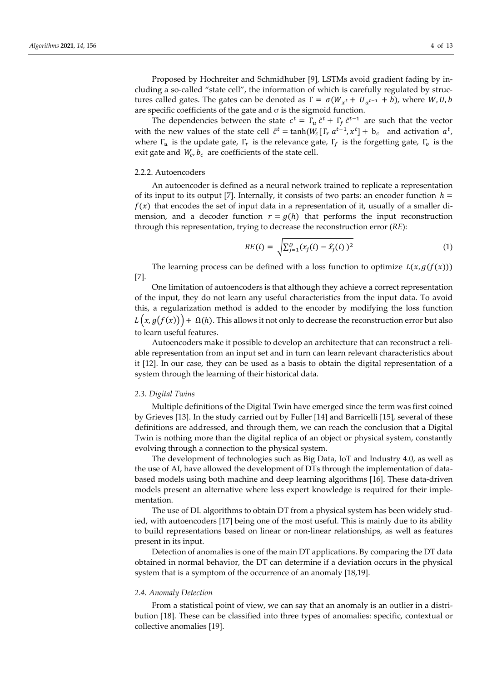Proposed by Hochreiter and Schmidhuber [9], LSTMs avoid gradient fading by including a so-called "state cell", the information of which is carefully regulated by structures called gates. The gates can be denoted as  $\Gamma = \sigma(W_{x^t} + U_{a^{t-1}} + b)$ , where W, U, b are specific coefficients of the gate and  $\sigma$  is the sigmoid function.

The dependencies between the state  $c^t = \Gamma_u \tilde{c}^t + \Gamma_f \tilde{c}^{t-1}$  are such that the vector with the new values of the state cell  $\tilde{c}^t = \tanh(W_c[\Gamma_r a^{t-1}, x^t] + b_c$  and activation  $a^t$ , where  $\Gamma_u$  is the update gate,  $\Gamma_r$  is the relevance gate,  $\Gamma_f$  is the forgetting gate,  $\Gamma_o$  is the exit gate and  $W_c$ ,  $b_c$  are coefficients of the state cell.

## 2.2.2. Autoencoders

An autoencoder is defined as a neural network trained to replicate a representation of its input to its output [7]. Internally, it consists of two parts: an encoder function  $h =$  $f(x)$  that encodes the set of input data in a representation of it, usually of a smaller dimension, and a decoder function  $r = g(h)$  that performs the input reconstruction through this representation, trying to decrease the reconstruction error (*RE*):

$$
RE(i) = \sqrt{\sum_{j=1}^{D} (x_j(i) - \hat{x}_j(i))^2}
$$
 (1)

The learning process can be defined with a loss function to optimize  $L(x, g(f(x)))$ [7].

One limitation of autoencoders is that although they achieve a correct representation of the input, they do not learn any useful characteristics from the input data. To avoid this, a regularization method is added to the encoder by modifying the loss function  $L(x, g(f(x))) + \Omega(h)$ . This allows it not only to decrease the reconstruction error but also to learn useful features.

Autoencoders make it possible to develop an architecture that can reconstruct a reliable representation from an input set and in turn can learn relevant characteristics about it [12]. In our case, they can be used as a basis to obtain the digital representation of a system through the learning of their historical data.

#### *2.3. Digital Twins*

Multiple definitions of the Digital Twin have emerged since the term was first coined by Grieves [13]. In the study carried out by Fuller [14] and Barricelli [15], several of these definitions are addressed, and through them, we can reach the conclusion that a Digital Twin is nothing more than the digital replica of an object or physical system, constantly evolving through a connection to the physical system.

The development of technologies such as Big Data, IoT and Industry 4.0, as well as the use of AI, have allowed the development of DTs through the implementation of databased models using both machine and deep learning algorithms [16]. These data-driven models present an alternative where less expert knowledge is required for their implementation.

The use of DL algorithms to obtain DT from a physical system has been widely studied, with autoencoders [17] being one of the most useful. This is mainly due to its ability to build representations based on linear or non-linear relationships, as well as features present in its input.

Detection of anomalies is one of the main DT applications. By comparing the DT data obtained in normal behavior, the DT can determine if a deviation occurs in the physical system that is a symptom of the occurrence of an anomaly [18,19].

#### *2.4. Anomaly Detection*

From a statistical point of view, we can say that an anomaly is an outlier in a distribution [18]. These can be classified into three types of anomalies: specific, contextual or collective anomalies [19].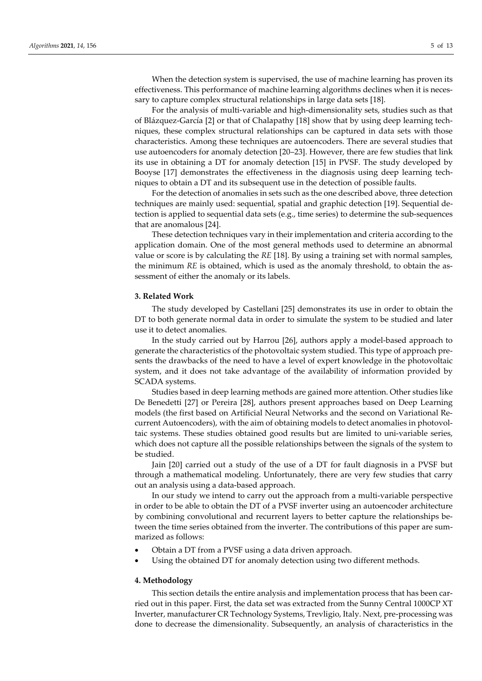When the detection system is supervised, the use of machine learning has proven its effectiveness. This performance of machine learning algorithms declines when it is necessary to capture complex structural relationships in large data sets [18].

For the analysis of multi-variable and high-dimensionality sets, studies such as that of Blázquez-García [2] or that of Chalapathy [18] show that by using deep learning techniques, these complex structural relationships can be captured in data sets with those characteristics. Among these techniques are autoencoders. There are several studies that use autoencoders for anomaly detection [20–23]. However, there are few studies that link its use in obtaining a DT for anomaly detection [15] in PVSF. The study developed by Booyse [17] demonstrates the effectiveness in the diagnosis using deep learning techniques to obtain a DT and its subsequent use in the detection of possible faults.

For the detection of anomalies in sets such as the one described above, three detection techniques are mainly used: sequential, spatial and graphic detection [19]. Sequential detection is applied to sequential data sets (e.g., time series) to determine the sub-sequences that are anomalous [24].

These detection techniques vary in their implementation and criteria according to the application domain. One of the most general methods used to determine an abnormal value or score is by calculating the *RE* [18]. By using a training set with normal samples, the minimum *RE* is obtained, which is used as the anomaly threshold, to obtain the assessment of either the anomaly or its labels.

#### **3. Related Work**

The study developed by Castellani [25] demonstrates its use in order to obtain the DT to both generate normal data in order to simulate the system to be studied and later use it to detect anomalies.

In the study carried out by Harrou [26], authors apply a model-based approach to generate the characteristics of the photovoltaic system studied. This type of approach presents the drawbacks of the need to have a level of expert knowledge in the photovoltaic system, and it does not take advantage of the availability of information provided by SCADA systems.

Studies based in deep learning methods are gained more attention. Other studies like De Benedetti [27] or Pereira [28], authors present approaches based on Deep Learning models (the first based on Artificial Neural Networks and the second on Variational Recurrent Autoencoders), with the aim of obtaining models to detect anomalies in photovoltaic systems. These studies obtained good results but are limited to uni-variable series, which does not capture all the possible relationships between the signals of the system to be studied.

Jain [20] carried out a study of the use of a DT for fault diagnosis in a PVSF but through a mathematical modeling. Unfortunately, there are very few studies that carry out an analysis using a data-based approach.

In our study we intend to carry out the approach from a multi-variable perspective in order to be able to obtain the DT of a PVSF inverter using an autoencoder architecture by combining convolutional and recurrent layers to better capture the relationships between the time series obtained from the inverter. The contributions of this paper are summarized as follows:

- Obtain a DT from a PVSF using a data driven approach.
- Using the obtained DT for anomaly detection using two different methods.

#### **4. Methodology**

This section details the entire analysis and implementation process that has been carried out in this paper. First, the data set was extracted from the Sunny Central 1000CP XT Inverter, manufacturer CR Technology Systems, Trevligio, Italy. Next, pre-processing was done to decrease the dimensionality. Subsequently, an analysis of characteristics in the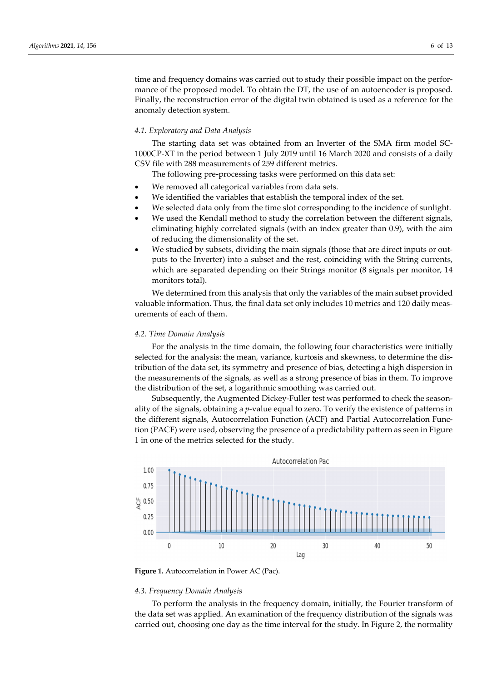time and frequency domains was carried out to study their possible impact on the performance of the proposed model. To obtain the DT, the use of an autoencoder is proposed. Finally, the reconstruction error of the digital twin obtained is used as a reference for the anomaly detection system.

## *4.1. Exploratory and Data Analysis*

The starting data set was obtained from an Inverter of the SMA firm model SC-1000CP-XT in the period between 1 July 2019 until 16 March 2020 and consists of a daily CSV file with 288 measurements of 259 different metrics.

The following pre-processing tasks were performed on this data set:

- We removed all categorical variables from data sets.
- We identified the variables that establish the temporal index of the set.
- We selected data only from the time slot corresponding to the incidence of sunlight.
- We used the Kendall method to study the correlation between the different signals, eliminating highly correlated signals (with an index greater than 0.9), with the aim of reducing the dimensionality of the set.
- We studied by subsets, dividing the main signals (those that are direct inputs or outputs to the Inverter) into a subset and the rest, coinciding with the String currents, which are separated depending on their Strings monitor (8 signals per monitor, 14 monitors total).

We determined from this analysis that only the variables of the main subset provided valuable information. Thus, the final data set only includes 10 metrics and 120 daily measurements of each of them.

#### *4.2. Time Domain Analysis*

For the analysis in the time domain, the following four characteristics were initially selected for the analysis: the mean, variance, kurtosis and skewness, to determine the distribution of the data set, its symmetry and presence of bias, detecting a high dispersion in the measurements of the signals, as well as a strong presence of bias in them. To improve the distribution of the set, a logarithmic smoothing was carried out.

Subsequently, the Augmented Dickey-Fuller test was performed to check the seasonality of the signals, obtaining a *p*-value equal to zero. To verify the existence of patterns in the different signals, Autocorrelation Function (ACF) and Partial Autocorrelation Function (PACF) were used, observing the presence of a predictability pattern as seen in Figure 1 in one of the metrics selected for the study.





#### *4.3. Frequency Domain Analysis*

To perform the analysis in the frequency domain, initially, the Fourier transform of the data set was applied. An examination of the frequency distribution of the signals was carried out, choosing one day as the time interval for the study. In Figure 2, the normality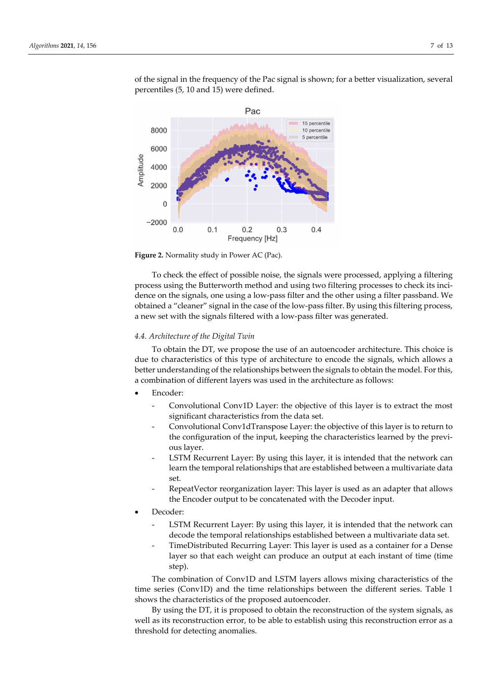

of the signal in the frequency of the Pac signal is shown; for a better visualization, several percentiles (5, 10 and 15) were defined.



To check the effect of possible noise, the signals were processed, applying a filtering process using the Butterworth method and using two filtering processes to check its incidence on the signals, one using a low-pass filter and the other using a filter passband. We obtained a "cleaner" signal in the case of the low-pass filter. By using this filtering process, a new set with the signals filtered with a low-pass filter was generated.

#### *4.4. Architecture of the Digital Twin*

To obtain the DT, we propose the use of an autoencoder architecture. This choice is due to characteristics of this type of architecture to encode the signals, which allows a better understanding of the relationships between the signals to obtain the model. For this, a combination of different layers was used in the architecture as follows:

- Encoder:
	- Convolutional Conv1D Layer: the objective of this layer is to extract the most significant characteristics from the data set.
	- Convolutional Conv1dTranspose Layer: the objective of this layer is to return to the configuration of the input, keeping the characteristics learned by the previous layer.
	- LSTM Recurrent Layer: By using this layer, it is intended that the network can learn the temporal relationships that are established between a multivariate data set.
	- RepeatVector reorganization layer: This layer is used as an adapter that allows the Encoder output to be concatenated with the Decoder input.
- Decoder:
	- LSTM Recurrent Layer: By using this layer, it is intended that the network can decode the temporal relationships established between a multivariate data set.
	- TimeDistributed Recurring Layer: This layer is used as a container for a Dense layer so that each weight can produce an output at each instant of time (time step).

The combination of Conv1D and LSTM layers allows mixing characteristics of the time series (Conv1D) and the time relationships between the different series. Table 1 shows the characteristics of the proposed autoencoder.

By using the DT, it is proposed to obtain the reconstruction of the system signals, as well as its reconstruction error, to be able to establish using this reconstruction error as a threshold for detecting anomalies.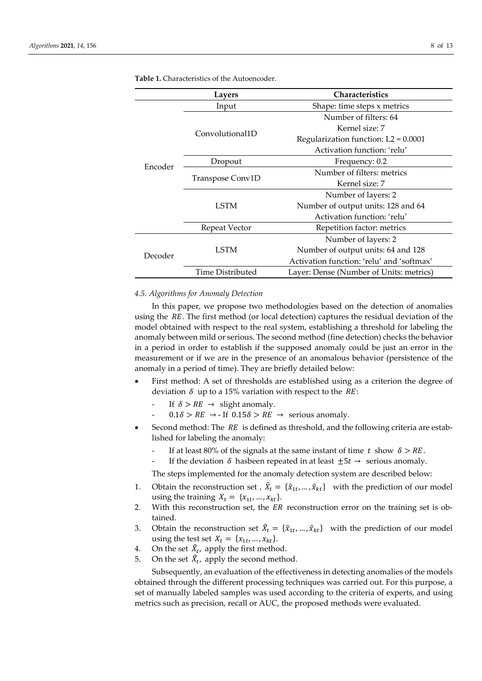|         | <b>Layers</b>    | <b>Characteristics</b>                    |  |  |
|---------|------------------|-------------------------------------------|--|--|
|         | Input            | Shape: time steps x metrics               |  |  |
|         |                  | Number of filters: 64                     |  |  |
|         |                  | Kernel size: 7                            |  |  |
|         | Convolutional1D  | Regularization function: $L2 = 0.0001$    |  |  |
|         |                  | Activation function: 'relu'               |  |  |
| Encoder | Dropout          | Frequency: 0.2                            |  |  |
|         | Transpose Conv1D | Number of filters: metrics                |  |  |
|         |                  | Kernel size: 7                            |  |  |
|         |                  | Number of layers: 2                       |  |  |
|         | <b>LSTM</b>      | Number of output units: 128 and 64        |  |  |
|         |                  | Activation function: 'relu'               |  |  |
|         | Repeat Vector    | Repetition factor: metrics                |  |  |
|         |                  | Number of layers: 2                       |  |  |
| Decoder | <b>LSTM</b>      | Number of output units: 64 and 128        |  |  |
|         |                  | Activation function: 'relu' and 'softmax' |  |  |
|         | Time Distributed | Layer: Dense (Number of Units: metrics)   |  |  |

**Table 1.** Characteristics of the Autoencoder.

#### *4.5. Algorithms for Anomaly Detection*

In this paper, we propose two methodologies based on the detection of anomalies using the  $RE$ . The first method (or local detection) captures the residual deviation of the model obtained with respect to the real system, establishing a threshold for labeling the anomaly between mild or serious. The second method (fine detection) checks the behavior in a period in order to establish if the supposed anomaly could be just an error in the measurement or if we are in the presence of an anomalous behavior (persistence of the anomaly in a period of time). They are briefly detailed below:

- First method: A set of thresholds are established using as a criterion the degree of deviation  $\delta$  up to a 15% variation with respect to the RE:
	- If  $\delta > RE \rightarrow$  slight anomaly.
	- $0.1\delta > RE \rightarrow$  If  $0.15\delta > RE \rightarrow$  serious anomaly.
- Second method: The  $RE$  is defined as threshold, and the following criteria are established for labeling the anomaly:
	- If at least 80% of the signals at the same instant of time  $t$  show  $\delta > RE$ .
	- If the deviation  $\delta$  hasbeen repeated in at least  $\pm 5t \rightarrow$  serious anomaly.

The steps implemented for the anomaly detection system are described below:

- 1. Obtain the reconstruction set ,  $\hat{X}_t = \{\hat{x}_{1t}, ..., \hat{x}_{kt}\}\$  with the prediction of our model using the training  $X_t = \{x_{1t}, ..., x_{kt}\}.$
- 2. With this reconstruction set, the ER reconstruction error on the training set is obtained.
- 3. Obtain the reconstruction set  $\hat{X}_t = {\hat{x}_{1t}, ..., \hat{x}_{kt}}$  with the prediction of our model using the test set  $X_t = \{x_{1t}, ..., x_{kt}\}.$
- 4. On the set  $\hat{X}_t$ , apply the first method.
- 5. On the set  $\hat{X}_t$ , apply the second method.

Subsequently, an evaluation of the effectiveness in detecting anomalies of the models obtained through the different processing techniques was carried out. For this purpose, a set of manually labeled samples was used according to the criteria of experts, and using metrics such as precision, recall or AUC, the proposed methods were evaluated.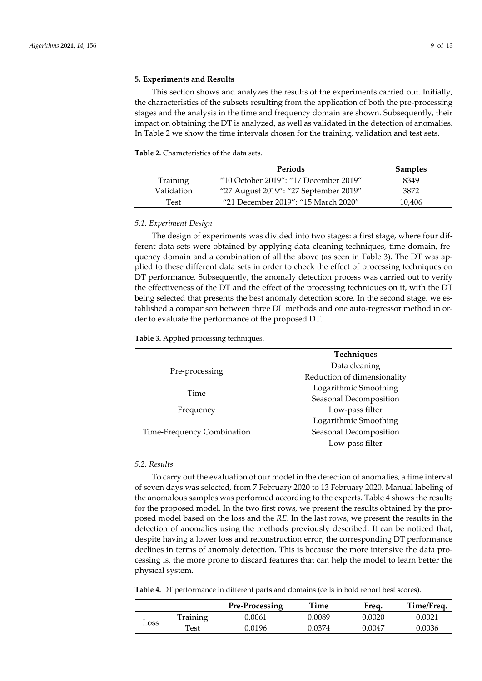## **5. Experiments and Results**

This section shows and analyzes the results of the experiments carried out. Initially, the characteristics of the subsets resulting from the application of both the pre-processing stages and the analysis in the time and frequency domain are shown. Subsequently, their impact on obtaining the DT is analyzed, as well as validated in the detection of anomalies. In Table 2 we show the time intervals chosen for the training, validation and test sets.

**Table 2.** Characteristics of the data sets.

|            | Periods                               | <b>Samples</b> |
|------------|---------------------------------------|----------------|
| Training   | "10 October 2019": "17 December 2019" | 8349           |
| Validation | "27 August 2019": "27 September 2019" | 3872           |
| Test       | "21 December 2019": "15 March 2020"   | 10.406         |

#### *5.1. Experiment Design*

The design of experiments was divided into two stages: a first stage, where four different data sets were obtained by applying data cleaning techniques, time domain, frequency domain and a combination of all the above (as seen in Table 3). The DT was applied to these different data sets in order to check the effect of processing techniques on DT performance. Subsequently, the anomaly detection process was carried out to verify the effectiveness of the DT and the effect of the processing techniques on it, with the DT being selected that presents the best anomaly detection score. In the second stage, we established a comparison between three DL methods and one auto-regressor method in order to evaluate the performance of the proposed DT.

**Table 3.** Applied processing techniques.

|                            | Techniques                  |  |  |
|----------------------------|-----------------------------|--|--|
|                            | Data cleaning               |  |  |
| Pre-processing             | Reduction of dimensionality |  |  |
| Time                       | Logarithmic Smoothing       |  |  |
|                            | Seasonal Decomposition      |  |  |
| Frequency                  | Low-pass filter             |  |  |
|                            | Logarithmic Smoothing       |  |  |
| Time-Frequency Combination | Seasonal Decomposition      |  |  |
|                            | Low-pass filter             |  |  |

### *5.2. Results*

To carry out the evaluation of our model in the detection of anomalies, a time interval of seven days was selected, from 7 February 2020 to 13 February 2020. Manual labeling of the anomalous samples was performed according to the experts. Table 4 shows the results for the proposed model. In the two first rows, we present the results obtained by the proposed model based on the loss and the *RE*. In the last rows, we present the results in the detection of anomalies using the methods previously described. It can be noticed that, despite having a lower loss and reconstruction error, the corresponding DT performance declines in terms of anomaly detection. This is because the more intensive the data processing is, the more prone to discard features that can help the model to learn better the physical system.

**Table 4.** DT performance in different parts and domains (cells in bold report best scores).

|               |          | Pre-Processing | Time   | Freg.  | Time/Freq. |
|---------------|----------|----------------|--------|--------|------------|
| $\mathcal{L}$ | Training | 0.0061         | 0.0089 | 0.0020 | 0.0021     |
|               | Test     | ).0196         | 0.0374 | 0.0047 | 0.0036     |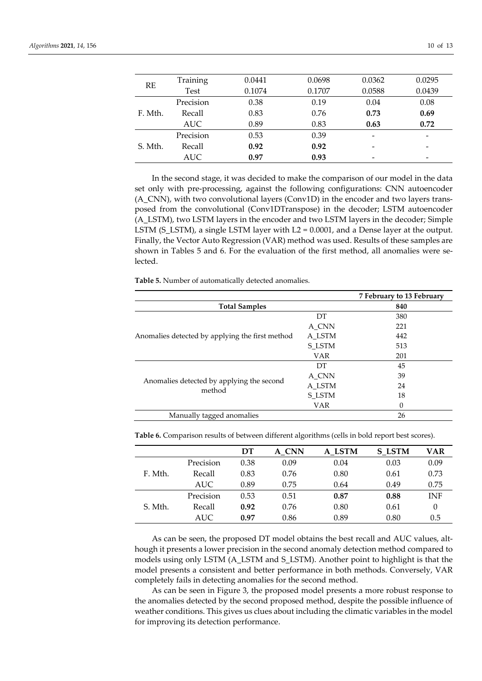| <b>RE</b> | Training   | 0.0441 | 0.0698 | 0.0362 | 0.0295                   |
|-----------|------------|--------|--------|--------|--------------------------|
|           | Test       | 0.1074 | 0.1707 | 0.0588 | 0.0439                   |
| F. Mth.   | Precision  | 0.38   | 0.19   | 0.04   | 0.08                     |
|           | Recall     | 0.83   | 0.76   | 0.73   | 0.69                     |
|           | AUC.       | 0.89   | 0.83   | 0.63   | 0.72                     |
| S. Mth.   | Precision  | 0.53   | 0.39   |        | -                        |
|           | Recall     | 0.92   | 0.92   |        | $\overline{\phantom{0}}$ |
|           | <b>AUC</b> | 0.97   | 0.93   |        |                          |

In the second stage, it was decided to make the comparison of our model in the data set only with pre-processing, against the following configurations: CNN autoencoder (A\_CNN), with two convolutional layers (Conv1D) in the encoder and two layers transposed from the convolutional (Conv1DTranspose) in the decoder; LSTM autoencoder (A\_LSTM), two LSTM layers in the encoder and two LSTM layers in the decoder; Simple LSTM (S\_LSTM), a single LSTM layer with L2 = 0.0001, and a Dense layer at the output. Finally, the Vector Auto Regression (VAR) method was used. Results of these samples are shown in Tables 5 and 6. For the evaluation of the first method, all anomalies were selected.

**Table 5.** Number of automatically detected anomalies.

|                                                     |            | 7 February to 13 February |
|-----------------------------------------------------|------------|---------------------------|
| <b>Total Samples</b>                                | 840        |                           |
|                                                     | DT         | 380                       |
|                                                     | A_CNN      | 221                       |
| Anomalies detected by applying the first method     | A LSTM     | 442                       |
|                                                     | S LSTM     | 513                       |
|                                                     | <b>VAR</b> | 201                       |
|                                                     | DT         | 45                        |
|                                                     | A_CNN      | 39                        |
| Anomalies detected by applying the second<br>method | A LSTM     | 24                        |
|                                                     | S_LSTM     | 18                        |
|                                                     | VAR        | $\theta$                  |
| Manually tagged anomalies                           |            | 26                        |

**Table 6.** Comparison results of between different algorithms (cells in bold report best scores).

|         |           | DТ   | A CNN | A LSTM | <b>S LSTM</b> | VAR        |
|---------|-----------|------|-------|--------|---------------|------------|
|         | Precision | 0.38 | 0.09  | 0.04   | 0.03          | 0.09       |
| F. Mth. | Recall    | 0.83 | 0.76  | 0.80   | 0.61          | 0.73       |
|         | AUC.      | 0.89 | 0.75  | 0.64   | 0.49          | 0.75       |
|         | Precision | 0.53 | 0.51  | 0.87   | 0.88          | <b>INF</b> |
| S. Mth. | Recall    | 0.92 | 0.76  | 0.80   | 0.61          | $\theta$   |
|         | AUC.      | 0.97 | 0.86  | 0.89   | 0.80          | 0.5        |

As can be seen, the proposed DT model obtains the best recall and AUC values, although it presents a lower precision in the second anomaly detection method compared to models using only LSTM (A\_LSTM and S\_LSTM). Another point to highlight is that the model presents a consistent and better performance in both methods. Conversely, VAR completely fails in detecting anomalies for the second method.

As can be seen in Figure 3, the proposed model presents a more robust response to the anomalies detected by the second proposed method, despite the possible influence of weather conditions. This gives us clues about including the climatic variables in the model for improving its detection performance.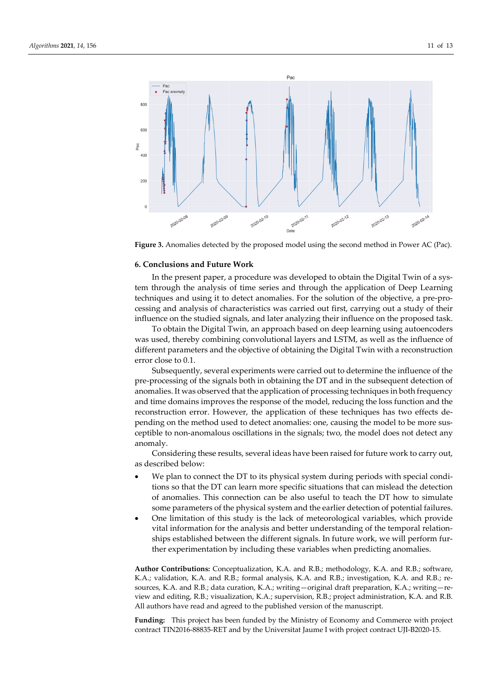

**Figure 3.** Anomalies detected by the proposed model using the second method in Power AC (Pac).

### **6. Conclusions and Future Work**

In the present paper, a procedure was developed to obtain the Digital Twin of a system through the analysis of time series and through the application of Deep Learning techniques and using it to detect anomalies. For the solution of the objective, a pre-processing and analysis of characteristics was carried out first, carrying out a study of their influence on the studied signals, and later analyzing their influence on the proposed task.

To obtain the Digital Twin, an approach based on deep learning using autoencoders was used, thereby combining convolutional layers and LSTM, as well as the influence of different parameters and the objective of obtaining the Digital Twin with a reconstruction error close to 0.1.

Subsequently, several experiments were carried out to determine the influence of the pre-processing of the signals both in obtaining the DT and in the subsequent detection of anomalies. It was observed that the application of processing techniques in both frequency and time domains improves the response of the model, reducing the loss function and the reconstruction error. However, the application of these techniques has two effects depending on the method used to detect anomalies: one, causing the model to be more susceptible to non-anomalous oscillations in the signals; two, the model does not detect any anomaly.

Considering these results, several ideas have been raised for future work to carry out, as described below:

- We plan to connect the DT to its physical system during periods with special conditions so that the DT can learn more specific situations that can mislead the detection of anomalies. This connection can be also useful to teach the DT how to simulate some parameters of the physical system and the earlier detection of potential failures.
- One limitation of this study is the lack of meteorological variables, which provide vital information for the analysis and better understanding of the temporal relationships established between the different signals. In future work, we will perform further experimentation by including these variables when predicting anomalies.

**Author Contributions:** Conceptualization, K.A. and R.B.; methodology, K.A. and R.B.; software, K.A.; validation, K.A. and R.B.; formal analysis, K.A. and R.B.; investigation, K.A. and R.B.; resources, K.A. and R.B.; data curation, K.A.; writing—original draft preparation, K.A.; writing—review and editing, R.B.; visualization, K.A.; supervision, R.B.; project administration, K.A. and R.B. All authors have read and agreed to the published version of the manuscript.

**Funding:** This project has been funded by the Ministry of Economy and Commerce with project contract TIN2016-88835-RET and by the Universitat Jaume I with project contract UJI-B2020-15.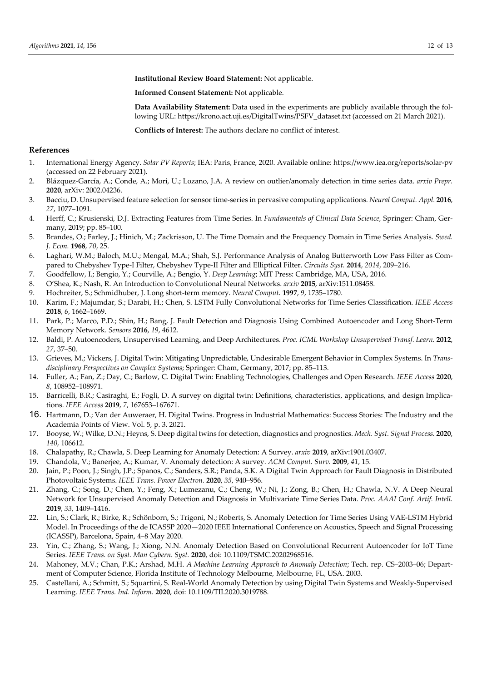**Institutional Review Board Statement:** Not applicable.

**Informed Consent Statement:** Not applicable.

**Data Availability Statement:** Data used in the experiments are publicly available through the following URL: https://krono.act.uji.es/DigitalTwins/PSFV\_dataset.txt (accessed on 21 March 2021).

**Conflicts of Interest:** The authors declare no conflict of interest.

## **References**

- 1. International Energy Agency. *Solar PV Reports*; IEA: Paris, France, 2020. Available online: https://www.iea.org/reports/solar-pv (accessed on 22 February 2021).
- 2. Blázquez-García, A.; Conde, A.; Mori, U.; Lozano, J.A. A review on outlier/anomaly detection in time series data. *arxiv Prepr.*  **2020**, arXiv: 2002.04236.
- 3. Bacciu, D. Unsupervised feature selection for sensor time-series in pervasive computing applications. *Neural Comput. Appl.* **2016**, *27*, 1077–1091.
- 4. Herff, C.; Krusienski, D.J. Extracting Features from Time Series. In *Fundamentals of Clinical Data Science*, Springer: Cham, Germany, 2019; pp. 85–100.
- 5. Brandes, O.; Farley, J.; Hinich, M.; Zackrisson, U. The Time Domain and the Frequency Domain in Time Series Analysis. *Swed. J. Econ.* **1968**, *70*, 25.
- 6. Laghari, W.M.; Baloch, M.U.; Mengal, M.A.; Shah, S.J. Performance Analysis of Analog Butterworth Low Pass Filter as Compared to Chebyshev Type-I Filter, Chebyshev Type-II Filter and Elliptical Filter. *Circuits Syst.* **2014**, *2014*, 209–216.
- 7. Goodfellow, I.; Bengio, Y.; Courville, A.; Bengio, Y. *Deep Learning*; MIT Press: Cambridge, MA, USA, 2016.
- 8. O'Shea, K.; Nash, R. An Introduction to Convolutional Neural Networks. *arxiv* **2015**, arXiv:1511.08458.
- 9. Hochreiter, S.; Schmidhuber, J. Long short-term memory. *Neural Comput.* **1997**, *9*, 1735–1780.
- 10. Karim, F.; Majumdar, S.; Darabi, H.; Chen, S. LSTM Fully Convolutional Networks for Time Series Classification. *IEEE Access* **2018**, *6*, 1662–1669.
- 11. Park, P.; Marco, P.D.; Shin, H.; Bang, J. Fault Detection and Diagnosis Using Combined Autoencoder and Long Short-Term Memory Network. *Sensors* **2016**, *19*, 4612.
- 12. Baldi, P. Autoencoders, Unsupervised Learning, and Deep Architectures. *Proc. ICML Workshop Unsupervised Transf. Learn.* **2012**, *27*, 37–50.
- 13. Grieves, M.; Vickers, J. Digital Twin: Mitigating Unpredictable, Undesirable Emergent Behavior in Complex Systems. In *Transdisciplinary Perspectives on Complex Systems*; Springer: Cham, Germany, 2017; pp. 85–113.
- 14. Fuller, A.; Fan, Z.; Day, C.; Barlow, C. Digital Twin: Enabling Technologies, Challenges and Open Research. *IEEE Access* **2020**, *8*, 108952–108971.
- 15. Barricelli, B.R.; Casiraghi, E.; Fogli, D. A survey on digital twin: Definitions, characteristics, applications, and design Implications. *IEEE Access* **2019**, *7*, 167653–167671.
- 16. Hartmann, D.; Van der Auweraer, H. Digital Twins. Progress in Industrial Mathematics: Success Stories: The Industry and the Academia Points of View. Vol. 5, p. 3. 2021.
- 17. Booyse, W.; Wilke, D.N.; Heyns, S. Deep digital twins for detection, diagnostics and prognostics. *Mech. Syst. Signal Process.* **2020**, *140*, 106612.
- 18. Chalapathy, R.; Chawla, S. Deep Learning for Anomaly Detection: A Survey. *arxiv* **2019**, arXiv:1901.03407.
- 19. Chandola, V.; Banerjee, A.; Kumar, V. Anomaly detection: A survey. *ACM Comput. Surv.* **2009**, *41*, 15.
- 20. Jain, P.; Poon, J.; Singh, J.P.; Spanos, C.; Sanders, S.R.; Panda, S.K. A Digital Twin Approach for Fault Diagnosis in Distributed Photovoltaic Systems. *IEEE Trans. Power Electron.* **2020**, *35*, 940–956.
- 21. Zhang, C.; Song, D.; Chen, Y.; Feng, X.; Lumezanu, C.; Cheng, W.; Ni, J.; Zong, B.; Chen, H.; Chawla, N.V. A Deep Neural Network for Unsupervised Anomaly Detection and Diagnosis in Multivariate Time Series Data. *Proc. AAAI Conf. Artif. Intell.*  **2019**, *33*, 1409–1416.
- 22. Lin, S.; Clark, R.; Birke, R.; Schönborn, S.; Trigoni, N.; Roberts, S. Anomaly Detection for Time Series Using VAE-LSTM Hybrid Model. In Proceedings of the de ICASSP 2020—2020 IEEE International Conference on Acoustics, Speech and Signal Processing (ICASSP), Barcelona, Spain, 4–8 May 2020.
- 23. Yin, C.; Zhang, S.; Wang, J.; Xiong, N.N. Anomaly Detection Based on Convolutional Recurrent Autoencoder for IoT Time Series. *IEEE Trans. on Syst. Man Cybern. Syst.* **2020**, doi: 10.1109/TSMC.20202968516.
- 24. Mahoney, M.V.; Chan, P.K.; Arshad, M.H. *A Machine Learning Approach to Anomaly Detection*; Tech. rep. CS–2003–06; Department of Computer Science, Florida Institute of Technology Melbourne, Melbourne, FL, USA. 2003.
- 25. Castellani, A.; Schmitt, S.; Squartini, S. Real-World Anomaly Detection by using Digital Twin Systems and Weakly-Supervised Learning. *IEEE Trans. Ind. Inform.* **2020**, doi: 10.1109/TII.2020.3019788.